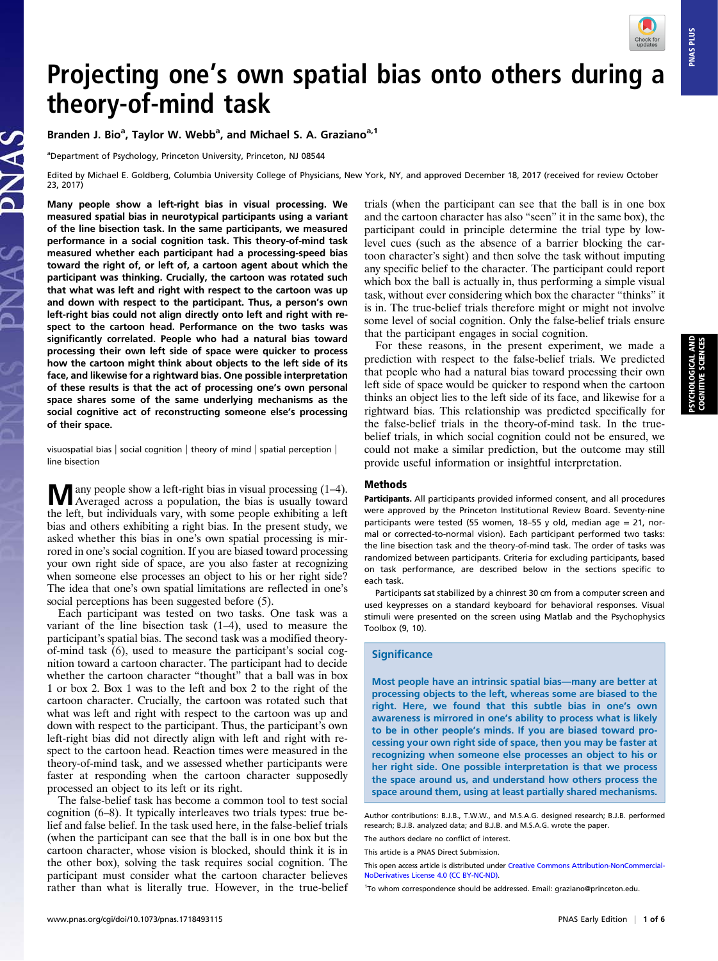# Projecting one's own spatial bias onto others during a theory-of-mind task

Branden J. Bio<sup>a</sup>, Taylor W. Webb<sup>a</sup>, and Michael S. A. Graziano<sup>a,1</sup>

<sup>a</sup>Department of Psychology, Princeton University, Princeton, NJ 08544

Edited by Michael E. Goldberg, Columbia University College of Physicians, New York, NY, and approved December 18, 2017 (received for review October 23, 2017)

Many people show a left-right bias in visual processing. We measured spatial bias in neurotypical participants using a variant of the line bisection task. In the same participants, we measured performance in a social cognition task. This theory-of-mind task measured whether each participant had a processing-speed bias toward the right of, or left of, a cartoon agent about which the participant was thinking. Crucially, the cartoon was rotated such that what was left and right with respect to the cartoon was up and down with respect to the participant. Thus, a person's own left-right bias could not align directly onto left and right with respect to the cartoon head. Performance on the two tasks was significantly correlated. People who had a natural bias toward processing their own left side of space were quicker to process how the cartoon might think about objects to the left side of its face, and likewise for a rightward bias. One possible interpretation of these results is that the act of processing one's own personal space shares some of the same underlying mechanisms as the social cognitive act of reconstructing someone else's processing of their space.

visuospatial bias | social cognition | theory of mind | spatial perception | line bisection

Many people show a left-right bias in visual processing (1–4).<br>Averaged across a population, the bias is usually toward the left, but individuals vary, with some people exhibiting a left bias and others exhibiting a right bias. In the present study, we asked whether this bias in one's own spatial processing is mirrored in one's social cognition. If you are biased toward processing your own right side of space, are you also faster at recognizing when someone else processes an object to his or her right side? The idea that one's own spatial limitations are reflected in one's social perceptions has been suggested before (5).

Each participant was tested on two tasks. One task was a variant of the line bisection task (1–4), used to measure the participant's spatial bias. The second task was a modified theoryof-mind task (6), used to measure the participant's social cognition toward a cartoon character. The participant had to decide whether the cartoon character "thought" that a ball was in box 1 or box 2. Box 1 was to the left and box 2 to the right of the cartoon character. Crucially, the cartoon was rotated such that what was left and right with respect to the cartoon was up and down with respect to the participant. Thus, the participant's own left-right bias did not directly align with left and right with respect to the cartoon head. Reaction times were measured in the theory-of-mind task, and we assessed whether participants were faster at responding when the cartoon character supposedly processed an object to its left or its right.

The false-belief task has become a common tool to test social cognition (6–8). It typically interleaves two trials types: true belief and false belief. In the task used here, in the false-belief trials (when the participant can see that the ball is in one box but the cartoon character, whose vision is blocked, should think it is in the other box), solving the task requires social cognition. The participant must consider what the cartoon character believes rather than what is literally true. However, in the true-belief trials (when the participant can see that the ball is in one box and the cartoon character has also "seen" it in the same box), the participant could in principle determine the trial type by lowlevel cues (such as the absence of a barrier blocking the cartoon character's sight) and then solve the task without imputing any specific belief to the character. The participant could report which box the ball is actually in, thus performing a simple visual task, without ever considering which box the character "thinks" it is in. The true-belief trials therefore might or might not involve some level of social cognition. Only the false-belief trials ensure that the participant engages in social cognition.

For these reasons, in the present experiment, we made a prediction with respect to the false-belief trials. We predicted that people who had a natural bias toward processing their own left side of space would be quicker to respond when the cartoon thinks an object lies to the left side of its face, and likewise for a rightward bias. This relationship was predicted specifically for the false-belief trials in the theory-of-mind task. In the truebelief trials, in which social cognition could not be ensured, we could not make a similar prediction, but the outcome may still provide useful information or insightful interpretation.

#### Methods

Participants. All participants provided informed consent, and all procedures were approved by the Princeton Institutional Review Board. Seventy-nine participants were tested (55 women, 18–55 y old, median age = 21, normal or corrected-to-normal vision). Each participant performed two tasks: the line bisection task and the theory-of-mind task. The order of tasks was randomized between participants. Criteria for excluding participants, based on task performance, are described below in the sections specific to each task.

Participants sat stabilized by a chinrest 30 cm from a computer screen and used keypresses on a standard keyboard for behavioral responses. Visual stimuli were presented on the screen using Matlab and the Psychophysics Toolbox (9, 10).

## **Significance**

Most people have an intrinsic spatial bias—many are better at processing objects to the left, whereas some are biased to the right. Here, we found that this subtle bias in one's own awareness is mirrored in one's ability to process what is likely to be in other people's minds. If you are biased toward processing your own right side of space, then you may be faster at recognizing when someone else processes an object to his or her right side. One possible interpretation is that we process the space around us, and understand how others process the space around them, using at least partially shared mechanisms.

Author contributions: B.J.B., T.W.W., and M.S.A.G. designed research; B.J.B. performed research; B.J.B. analyzed data; and B.J.B. and M.S.A.G. wrote the paper. The authors declare no conflict of interest.

This article is a PNAS Direct Submission.

This open access article is distributed under [Creative Commons Attribution-NonCommercial-](https://creativecommons.org/licenses/by-nc-nd/4.0/)[NoDerivatives License 4.0 \(CC BY-NC-ND\).](https://creativecommons.org/licenses/by-nc-nd/4.0/)

<sup>1</sup>To whom correspondence should be addressed. Email: [graziano@princeton.edu.](mailto:graziano@princeton.edu)

PSYCHOLOGICAL AND COGNITIVE SCIENCES

PSYCHOLOGICAL AND<br>COGNITIVE SCIENCES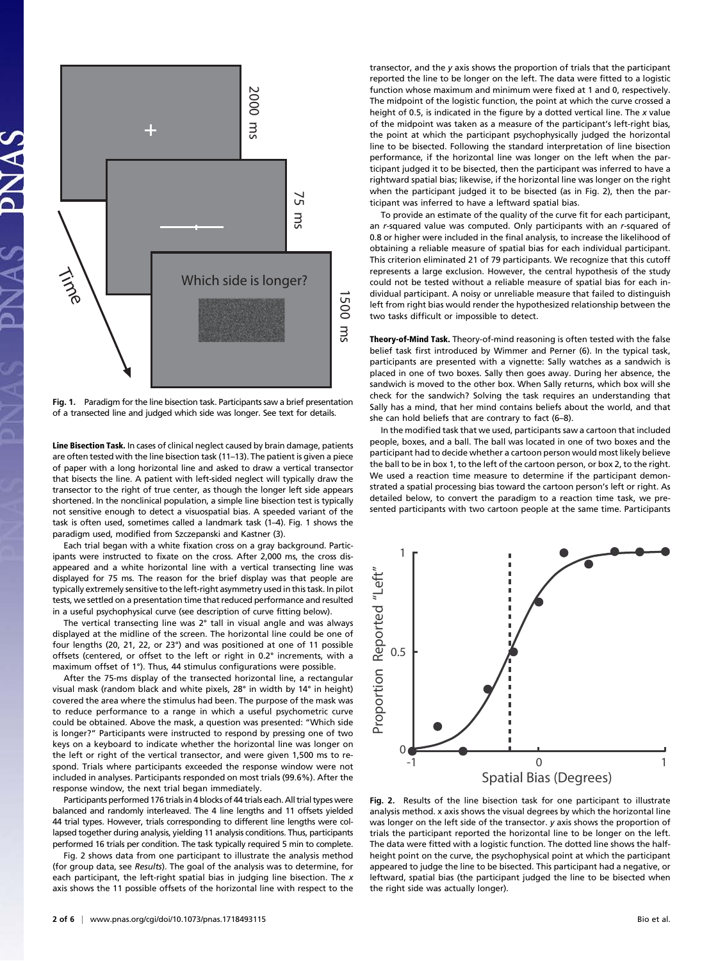

Fig. 1. Paradigm for the line bisection task. Participants saw a brief presentation of a transected line and judged which side was longer. See text for details.

Line Bisection Task. In cases of clinical neglect caused by brain damage, patients are often tested with the line bisection task (11–13). The patient is given a piece of paper with a long horizontal line and asked to draw a vertical transector that bisects the line. A patient with left-sided neglect will typically draw the transector to the right of true center, as though the longer left side appears shortened. In the nonclinical population, a simple line bisection test is typically not sensitive enough to detect a visuospatial bias. A speeded variant of the task is often used, sometimes called a landmark task (1–4). Fig. 1 shows the paradigm used, modified from Szczepanski and Kastner (3).

Each trial began with a white fixation cross on a gray background. Participants were instructed to fixate on the cross. After 2,000 ms, the cross disappeared and a white horizontal line with a vertical transecting line was displayed for 75 ms. The reason for the brief display was that people are typically extremely sensitive to the left-right asymmetry used in this task. In pilot tests, we settled on a presentation time that reduced performance and resulted in a useful psychophysical curve (see description of curve fitting below).

The vertical transecting line was 2° tall in visual angle and was always displayed at the midline of the screen. The horizontal line could be one of four lengths (20, 21, 22, or 23°) and was positioned at one of 11 possible offsets (centered, or offset to the left or right in 0.2° increments, with a maximum offset of 1°). Thus, 44 stimulus configurations were possible.

After the 75-ms display of the transected horizontal line, a rectangular visual mask (random black and white pixels, 28° in width by 14° in height) covered the area where the stimulus had been. The purpose of the mask was to reduce performance to a range in which a useful psychometric curve could be obtained. Above the mask, a question was presented: "Which side is longer?" Participants were instructed to respond by pressing one of two keys on a keyboard to indicate whether the horizontal line was longer on the left or right of the vertical transector, and were given 1,500 ms to respond. Trials where participants exceeded the response window were not included in analyses. Participants responded on most trials (99.6%). After the response window, the next trial began immediately.

Participants performed 176 trials in 4 blocks of 44 trials each. All trial types were balanced and randomly interleaved. The 4 line lengths and 11 offsets yielded 44 trial types. However, trials corresponding to different line lengths were collapsed together during analysis, yielding 11 analysis conditions. Thus, participants performed 16 trials per condition. The task typically required 5 min to complete.

Fig. 2 shows data from one participant to illustrate the analysis method (for group data, see Results). The goal of the analysis was to determine, for each participant, the left-right spatial bias in judging line bisection. The  $x$ axis shows the 11 possible offsets of the horizontal line with respect to the transector, and the y axis shows the proportion of trials that the participant reported the line to be longer on the left. The data were fitted to a logistic function whose maximum and minimum were fixed at 1 and 0, respectively. The midpoint of the logistic function, the point at which the curve crossed a height of 0.5, is indicated in the figure by a dotted vertical line. The x value of the midpoint was taken as a measure of the participant's left-right bias, the point at which the participant psychophysically judged the horizontal line to be bisected. Following the standard interpretation of line bisection performance, if the horizontal line was longer on the left when the participant judged it to be bisected, then the participant was inferred to have a rightward spatial bias; likewise, if the horizontal line was longer on the right when the participant judged it to be bisected (as in Fig. 2), then the participant was inferred to have a leftward spatial bias.

To provide an estimate of the quality of the curve fit for each participant, an r-squared value was computed. Only participants with an r-squared of 0.8 or higher were included in the final analysis, to increase the likelihood of obtaining a reliable measure of spatial bias for each individual participant. This criterion eliminated 21 of 79 participants. We recognize that this cutoff represents a large exclusion. However, the central hypothesis of the study could not be tested without a reliable measure of spatial bias for each individual participant. A noisy or unreliable measure that failed to distinguish left from right bias would render the hypothesized relationship between the two tasks difficult or impossible to detect.

Theory-of-Mind Task. Theory-of-mind reasoning is often tested with the false belief task first introduced by Wimmer and Perner (6). In the typical task, participants are presented with a vignette: Sally watches as a sandwich is placed in one of two boxes. Sally then goes away. During her absence, the sandwich is moved to the other box. When Sally returns, which box will she check for the sandwich? Solving the task requires an understanding that Sally has a mind, that her mind contains beliefs about the world, and that she can hold beliefs that are contrary to fact (6–8).

In the modified task that we used, participants saw a cartoon that included people, boxes, and a ball. The ball was located in one of two boxes and the participant had to decide whether a cartoon person would most likely believe the ball to be in box 1, to the left of the cartoon person, or box 2, to the right. We used a reaction time measure to determine if the participant demonstrated a spatial processing bias toward the cartoon person's left or right. As detailed below, to convert the paradigm to a reaction time task, we presented participants with two cartoon people at the same time. Participants



Fig. 2. Results of the line bisection task for one participant to illustrate analysis method. x axis shows the visual degrees by which the horizontal line was longer on the left side of the transector. y axis shows the proportion of trials the participant reported the horizontal line to be longer on the left. The data were fitted with a logistic function. The dotted line shows the halfheight point on the curve, the psychophysical point at which the participant appeared to judge the line to be bisected. This participant had a negative, or leftward, spatial bias (the participant judged the line to be bisected when the right side was actually longer).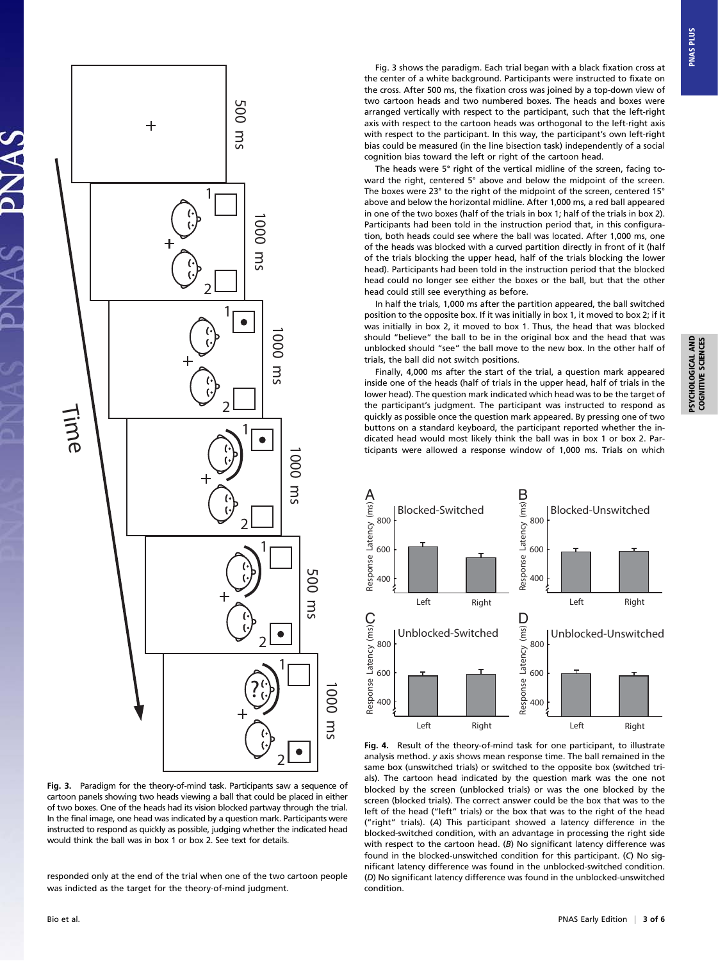

Fig. 3. Paradigm for the theory-of-mind task. Participants saw a sequence of cartoon panels showing two heads viewing a ball that could be placed in either of two boxes. One of the heads had its vision blocked partway through the trial. In the final image, one head was indicated by a question mark. Participants were instructed to respond as quickly as possible, judging whether the indicated head would think the ball was in box 1 or box 2. See text for details.

1000 ms

responded only at the end of the trial when one of the two cartoon people was indicted as the target for the theory-of-mind judgment.

**PNAS PLUS** PNAS PLUS

Fig. 3 shows the paradigm. Each trial began with a black fixation cross at the center of a white background. Participants were instructed to fixate on the cross. After 500 ms, the fixation cross was joined by a top-down view of two cartoon heads and two numbered boxes. The heads and boxes were arranged vertically with respect to the participant, such that the left-right axis with respect to the cartoon heads was orthogonal to the left-right axis with respect to the participant. In this way, the participant's own left-right bias could be measured (in the line bisection task) independently of a social cognition bias toward the left or right of the cartoon head.

The heads were 5° right of the vertical midline of the screen, facing toward the right, centered 5° above and below the midpoint of the screen. The boxes were 23° to the right of the midpoint of the screen, centered 15° above and below the horizontal midline. After 1,000 ms, a red ball appeared in one of the two boxes (half of the trials in box 1; half of the trials in box 2). Participants had been told in the instruction period that, in this configuration, both heads could see where the ball was located. After 1,000 ms, one of the heads was blocked with a curved partition directly in front of it (half of the trials blocking the upper head, half of the trials blocking the lower head). Participants had been told in the instruction period that the blocked head could no longer see either the boxes or the ball, but that the other head could still see everything as before.

In half the trials, 1,000 ms after the partition appeared, the ball switched position to the opposite box. If it was initially in box 1, it moved to box 2; if it was initially in box 2, it moved to box 1. Thus, the head that was blocked should "believe" the ball to be in the original box and the head that was unblocked should "see" the ball move to the new box. In the other half of trials, the ball did not switch positions.

Finally, 4,000 ms after the start of the trial, a question mark appeared inside one of the heads (half of trials in the upper head, half of trials in the lower head). The question mark indicated which head was to be the target of the participant's judgment. The participant was instructed to respond as quickly as possible once the question mark appeared. By pressing one of two buttons on a standard keyboard, the participant reported whether the indicated head would most likely think the ball was in box 1 or box 2. Participants were allowed a response window of 1,000 ms. Trials on which



Fig. 4. Result of the theory-of-mind task for one participant, to illustrate analysis method. y axis shows mean response time. The ball remained in the same box (unswitched trials) or switched to the opposite box (switched trials). The cartoon head indicated by the question mark was the one not blocked by the screen (unblocked trials) or was the one blocked by the screen (blocked trials). The correct answer could be the box that was to the left of the head ("left" trials) or the box that was to the right of the head ("right" trials). (A) This participant showed a latency difference in the blocked-switched condition, with an advantage in processing the right side with respect to the cartoon head. (B) No significant latency difference was found in the blocked-unswitched condition for this participant. (C) No significant latency difference was found in the unblocked-switched condition. (D) No significant latency difference was found in the unblocked-unswitched condition.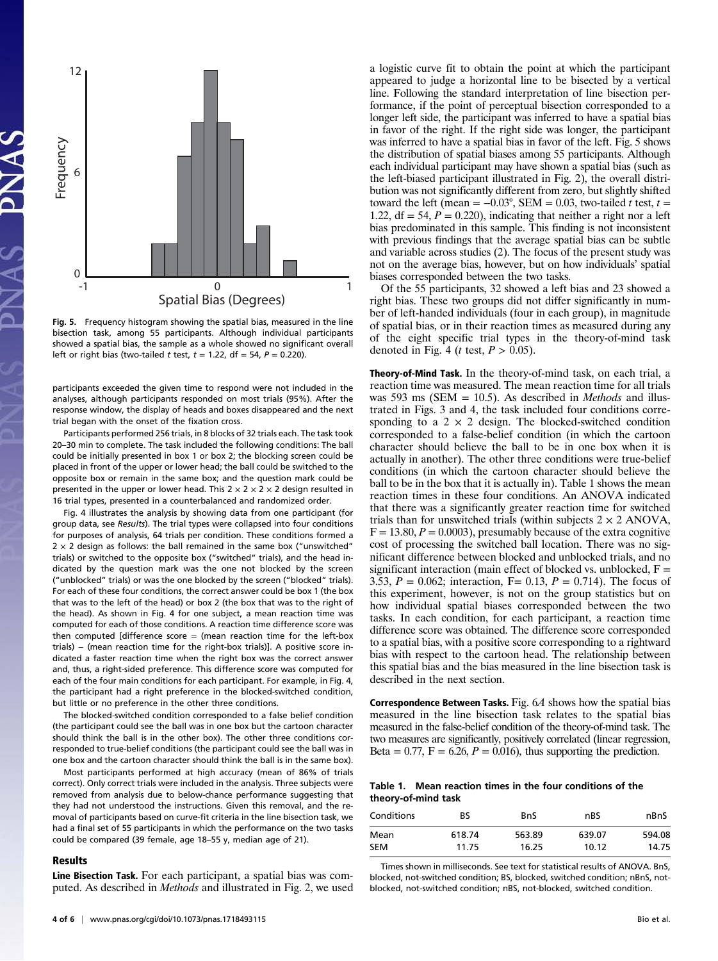

Fig. 5. Frequency histogram showing the spatial bias, measured in the line bisection task, among 55 participants. Although individual participants showed a spatial bias, the sample as a whole showed no significant overall left or right bias (two-tailed t test,  $t = 1.22$ , df = 54, P = 0.220).

participants exceeded the given time to respond were not included in the analyses, although participants responded on most trials (95%). After the response window, the display of heads and boxes disappeared and the next trial began with the onset of the fixation cross.

Participants performed 256 trials, in 8 blocks of 32 trials each. The task took 20–30 min to complete. The task included the following conditions: The ball could be initially presented in box 1 or box 2; the blocking screen could be placed in front of the upper or lower head; the ball could be switched to the opposite box or remain in the same box; and the question mark could be presented in the upper or lower head. This  $2 \times 2 \times 2 \times 2$  design resulted in 16 trial types, presented in a counterbalanced and randomized order.

Fig. 4 illustrates the analysis by showing data from one participant (for group data, see Results). The trial types were collapsed into four conditions for purposes of analysis, 64 trials per condition. These conditions formed a  $2 \times 2$  design as follows: the ball remained in the same box ("unswitched" trials) or switched to the opposite box ("switched" trials), and the head indicated by the question mark was the one not blocked by the screen ("unblocked" trials) or was the one blocked by the screen ("blocked" trials). For each of these four conditions, the correct answer could be box 1 (the box that was to the left of the head) or box 2 (the box that was to the right of the head). As shown in Fig. 4 for one subject, a mean reaction time was computed for each of those conditions. A reaction time difference score was then computed [difference score  $=$  (mean reaction time for the left-box trials) – (mean reaction time for the right-box trials)]. A positive score indicated a faster reaction time when the right box was the correct answer and, thus, a right-sided preference. This difference score was computed for each of the four main conditions for each participant. For example, in Fig. 4, the participant had a right preference in the blocked-switched condition, but little or no preference in the other three conditions.

The blocked-switched condition corresponded to a false belief condition (the participant could see the ball was in one box but the cartoon character should think the ball is in the other box). The other three conditions corresponded to true-belief conditions (the participant could see the ball was in one box and the cartoon character should think the ball is in the same box).

Most participants performed at high accuracy (mean of 86% of trials correct). Only correct trials were included in the analysis. Three subjects were removed from analysis due to below-chance performance suggesting that they had not understood the instructions. Given this removal, and the removal of participants based on curve-fit criteria in the line bisection task, we had a final set of 55 participants in which the performance on the two tasks could be compared (39 female, age 18–55 y, median age of 21).

### Results

Line Bisection Task. For each participant, a spatial bias was computed. As described in Methods and illustrated in Fig. 2, we used

4 of 6 <sup>|</sup> <www.pnas.org/cgi/doi/10.1073/pnas.1718493115> Bio et al.

a logistic curve fit to obtain the point at which the participant appeared to judge a horizontal line to be bisected by a vertical line. Following the standard interpretation of line bisection performance, if the point of perceptual bisection corresponded to a longer left side, the participant was inferred to have a spatial bias in favor of the right. If the right side was longer, the participant was inferred to have a spatial bias in favor of the left. Fig. 5 shows the distribution of spatial biases among 55 participants. Although each individual participant may have shown a spatial bias (such as the left-biased participant illustrated in Fig. 2), the overall distribution was not significantly different from zero, but slightly shifted toward the left (mean =  $-0.03^{\circ}$ , SEM = 0.03, two-tailed t test, t = 1.22, df = 54,  $P = 0.220$ ), indicating that neither a right nor a left bias predominated in this sample. This finding is not inconsistent with previous findings that the average spatial bias can be subtle and variable across studies (2). The focus of the present study was not on the average bias, however, but on how individuals' spatial biases corresponded between the two tasks.

Of the 55 participants, 32 showed a left bias and 23 showed a right bias. These two groups did not differ significantly in number of left-handed individuals (four in each group), in magnitude of spatial bias, or in their reaction times as measured during any of the eight specific trial types in the theory-of-mind task denoted in Fig. 4 (t test,  $P > 0.05$ ).

Theory-of-Mind Task. In the theory-of-mind task, on each trial, a reaction time was measured. The mean reaction time for all trials was 593 ms (SEM = 10.5). As described in *Methods* and illustrated in Figs. 3 and 4, the task included four conditions corresponding to a  $2 \times 2$  design. The blocked-switched condition corresponded to a false-belief condition (in which the cartoon character should believe the ball to be in one box when it is actually in another). The other three conditions were true-belief conditions (in which the cartoon character should believe the ball to be in the box that it is actually in). Table 1 shows the mean reaction times in these four conditions. An ANOVA indicated that there was a significantly greater reaction time for switched trials than for unswitched trials (within subjects  $2 \times 2$  ANOVA,  $F = 13.80, P = 0.0003$ , presumably because of the extra cognitive cost of processing the switched ball location. There was no significant difference between blocked and unblocked trials, and no significant interaction (main effect of blocked vs. unblocked,  $F =$ 3.53,  $P = 0.062$ ; interaction,  $F = 0.13$ ,  $P = 0.714$ ). The focus of this experiment, however, is not on the group statistics but on how individual spatial biases corresponded between the two tasks. In each condition, for each participant, a reaction time difference score was obtained. The difference score corresponded to a spatial bias, with a positive score corresponding to a rightward bias with respect to the cartoon head. The relationship between this spatial bias and the bias measured in the line bisection task is described in the next section.

Correspondence Between Tasks. Fig. 6A shows how the spatial bias measured in the line bisection task relates to the spatial bias measured in the false-belief condition of the theory-of-mind task. The two measures are significantly, positively correlated (linear regression, Beta = 0.77,  $F = 6.26$ ,  $P = 0.016$ ), thus supporting the prediction.

#### Table 1. Mean reaction times in the four conditions of the theory-of-mind task

| Conditions | BS     | BnS    | nBS    | nBnS   |
|------------|--------|--------|--------|--------|
| Mean       | 618.74 | 563.89 | 639.07 | 594.08 |
| SEM        | 11.75  | 16.25  | 10.12  | 14.75  |

Times shown in milliseconds. See text for statistical results of ANOVA. BnS, blocked, not-switched condition; BS, blocked, switched condition; nBnS, notblocked, not-switched condition; nBS, not-blocked, switched condition.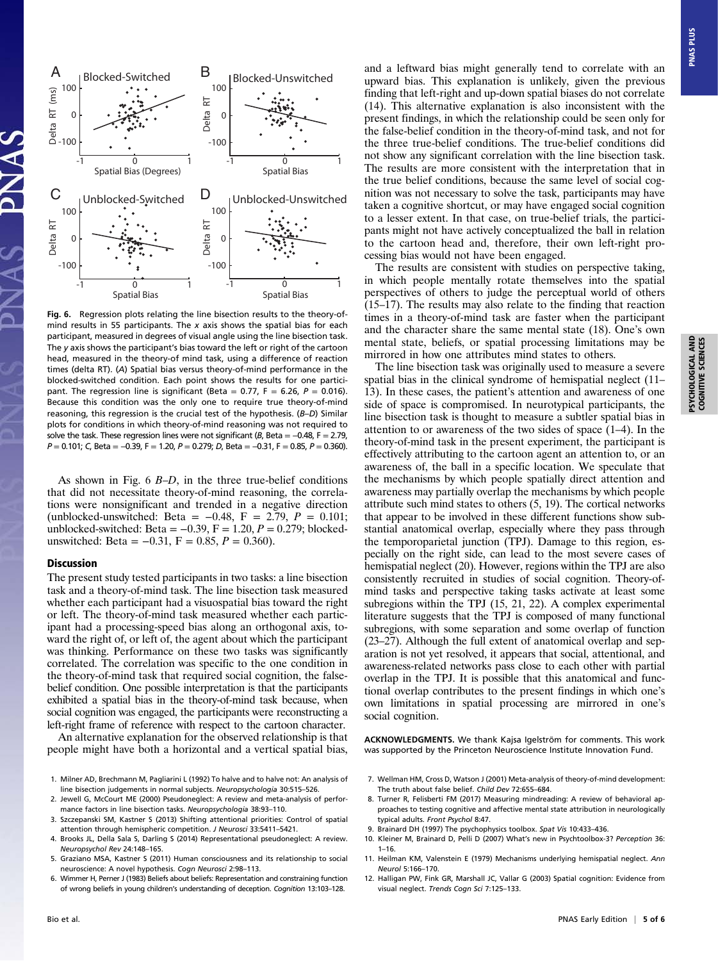

**PNAS PLUS** PNAS PLUS



Fig. 6. Regression plots relating the line bisection results to the theory-ofmind results in 55 participants. The  $x$  axis shows the spatial bias for each participant, measured in degrees of visual angle using the line bisection task. The y axis shows the participant's bias toward the left or right of the cartoon head, measured in the theory-of mind task, using a difference of reaction times (delta RT). (A) Spatial bias versus theory-of-mind performance in the blocked-switched condition. Each point shows the results for one participant. The regression line is significant (Beta =  $0.77$ , F =  $6.26$ , P =  $0.016$ ). Because this condition was the only one to require true theory-of-mind reasoning, this regression is the crucial test of the hypothesis. (B–D) Similar plots for conditions in which theory-of-mind reasoning was not required to solve the task. These regression lines were not significant (B, Beta =  $-0.48$ , F = 2.79, P = 0.101; C, Beta = −0.39, F = 1.20, P = 0.279; D, Beta = −0.31, F = 0.85, P = 0.360).

As shown in Fig.  $6B-D$ , in the three true-belief conditions that did not necessitate theory-of-mind reasoning, the correlations were nonsignificant and trended in a negative direction (unblocked-unswitched: Beta =  $-0.48$ , F = 2.79, P = 0.101; unblocked-switched: Beta =  $-0.39$ , F = 1.20, P = 0.279; blockedunswitched: Beta =  $-0.31$ , F = 0.85, P = 0.360).

#### Discussion

The present study tested participants in two tasks: a line bisection task and a theory-of-mind task. The line bisection task measured whether each participant had a visuospatial bias toward the right or left. The theory-of-mind task measured whether each participant had a processing-speed bias along an orthogonal axis, toward the right of, or left of, the agent about which the participant was thinking. Performance on these two tasks was significantly correlated. The correlation was specific to the one condition in the theory-of-mind task that required social cognition, the falsebelief condition. One possible interpretation is that the participants exhibited a spatial bias in the theory-of-mind task because, when social cognition was engaged, the participants were reconstructing a left-right frame of reference with respect to the cartoon character.

An alternative explanation for the observed relationship is that people might have both a horizontal and a vertical spatial bias,

- 1. Milner AD, Brechmann M, Pagliarini L (1992) To halve and to halve not: An analysis of line bisection judgements in normal subjects. Neuropsychologia 30:515–526.
- 2. Jewell G, McCourt ME (2000) Pseudoneglect: A review and meta-analysis of performance factors in line bisection tasks. Neuropsychologia 38:93–110.
- 3. Szczepanski SM, Kastner S (2013) Shifting attentional priorities: Control of spatial attention through hemispheric competition. J Neurosci 33:5411–5421.
- 4. Brooks JL, Della Sala S, Darling S (2014) Representational pseudoneglect: A review. Neuropsychol Rev 24:148–165.
- 5. Graziano MSA, Kastner S (2011) Human consciousness and its relationship to social neuroscience: A novel hypothesis. Cogn Neurosci 2:98–113.
- 6. Wimmer H, Perner J (1983) Beliefs about beliefs: Representation and constraining function of wrong beliefs in young children's understanding of deception. Cognition 13:103–128.

and a leftward bias might generally tend to correlate with an upward bias. This explanation is unlikely, given the previous finding that left-right and up-down spatial biases do not correlate (14). This alternative explanation is also inconsistent with the present findings, in which the relationship could be seen only for the false-belief condition in the theory-of-mind task, and not for the three true-belief conditions. The true-belief conditions did not show any significant correlation with the line bisection task. The results are more consistent with the interpretation that in the true belief conditions, because the same level of social cognition was not necessary to solve the task, participants may have taken a cognitive shortcut, or may have engaged social cognition to a lesser extent. In that case, on true-belief trials, the participants might not have actively conceptualized the ball in relation to the cartoon head and, therefore, their own left-right processing bias would not have been engaged.

The results are consistent with studies on perspective taking, in which people mentally rotate themselves into the spatial perspectives of others to judge the perceptual world of others (15–17). The results may also relate to the finding that reaction times in a theory-of-mind task are faster when the participant and the character share the same mental state (18). One's own mental state, beliefs, or spatial processing limitations may be mirrored in how one attributes mind states to others.

The line bisection task was originally used to measure a severe spatial bias in the clinical syndrome of hemispatial neglect (11– 13). In these cases, the patient's attention and awareness of one side of space is compromised. In neurotypical participants, the line bisection task is thought to measure a subtler spatial bias in attention to or awareness of the two sides of space (1–4). In the theory-of-mind task in the present experiment, the participant is effectively attributing to the cartoon agent an attention to, or an awareness of, the ball in a specific location. We speculate that the mechanisms by which people spatially direct attention and awareness may partially overlap the mechanisms by which people attribute such mind states to others (5, 19). The cortical networks that appear to be involved in these different functions show substantial anatomical overlap, especially where they pass through the temporoparietal junction (TPJ). Damage to this region, especially on the right side, can lead to the most severe cases of hemispatial neglect (20). However, regions within the TPJ are also consistently recruited in studies of social cognition. Theory-ofmind tasks and perspective taking tasks activate at least some subregions within the TPJ (15, 21, 22). A complex experimental literature suggests that the TPJ is composed of many functional subregions, with some separation and some overlap of function (23–27). Although the full extent of anatomical overlap and separation is not yet resolved, it appears that social, attentional, and awareness-related networks pass close to each other with partial overlap in the TPJ. It is possible that this anatomical and functional overlap contributes to the present findings in which one's own limitations in spatial processing are mirrored in one's social cognition.

ACKNOWLEDGMENTS. We thank Kajsa Igelström for comments. This work was supported by the Princeton Neuroscience Institute Innovation Fund.

- 7. Wellman HM, Cross D, Watson J (2001) Meta-analysis of theory-of-mind development: The truth about false belief. Child Dev 72:655–684.
- 8. Turner R, Felisberti FM (2017) Measuring mindreading: A review of behavioral approaches to testing cognitive and affective mental state attribution in neurologically typical adults. Front Psychol 8:47.
- 9. Brainard DH (1997) The psychophysics toolbox. Spat Vis 10:433–436.
- 10. Kleiner M, Brainard D, Pelli D (2007) What's new in Psychtoolbox-3? Perception 36:  $1-16$ .
- 11. Heilman KM, Valenstein E (1979) Mechanisms underlying hemispatial neglect. Ann Neurol 5:166–170.
- 12. Halligan PW, Fink GR, Marshall JC, Vallar G (2003) Spatial cognition: Evidence from visual neglect. Trends Cogn Sci 7:125–133.